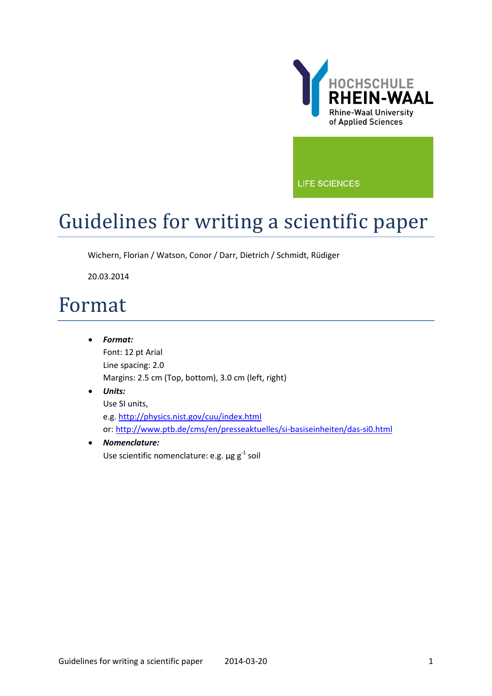

**LIFE SCIENCES** 

## Guidelines for writing a scientific paper

Wichern, Florian / Watson, Conor / Darr, Dietrich / Schmidt, Rüdiger

20.03.2014

## Format

• *Format:*  Font: 12 pt Arial Line spacing: 2.0 Margins: 2.5 cm (Top, bottom), 3.0 cm (left, right)

## • *Units:* Use SI units, e.g[. http://physics.nist.gov/cuu/index.html](http://physics.nist.gov/cuu/index.html) or:<http://www.ptb.de/cms/en/presseaktuelles/si-basiseinheiten/das-si0.html>

## • *Nomenclature:* Use scientific nomenclature: e.g.  $\mu$ g g<sup>-1</sup> soil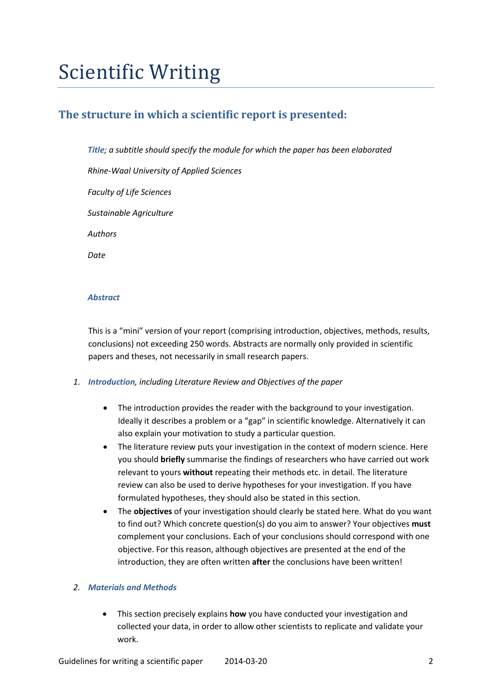# Scientific Writing

## **The structure in which a scientific report is presented:**

*Title; a subtitle should specify the module for which the paper has been elaborated*

*Rhine-Waal University of Applied Sciences*

*Faculty of Life Sciences*

*Sustainable Agriculture*

*Authors*

*Date*

### *Abstract*

This is a "mini" version of your report (comprising introduction, objectives, methods, results, conclusions) not exceeding 250 words. Abstracts are normally only provided in scientific papers and theses, not necessarily in small research papers.

## *1. Introduction, including Literature Review and Objectives of the paper*

- The introduction provides the reader with the background to your investigation. Ideally it describes a problem or a "gap" in scientific knowledge. Alternatively it can also explain your motivation to study a particular question.
- The literature review puts your investigation in the context of modern science. Here you should **briefly** summarise the findings of researchers who have carried out work relevant to yours **without** repeating their methods etc. in detail. The literature review can also be used to derive hypotheses for your investigation. If you have formulated hypotheses, they should also be stated in this section.
- The **objectives** of your investigation should clearly be stated here. What do you want to find out? Which concrete question(s) do you aim to answer? Your objectives **must**  complement your conclusions. Each of your conclusions should correspond with one objective. For this reason, although objectives are presented at the end of the introduction, they are often written **after** the conclusions have been written!

## *2. Materials and Methods*

• This section precisely explains **how** you have conducted your investigation and collected your data, in order to allow other scientists to replicate and validate your work.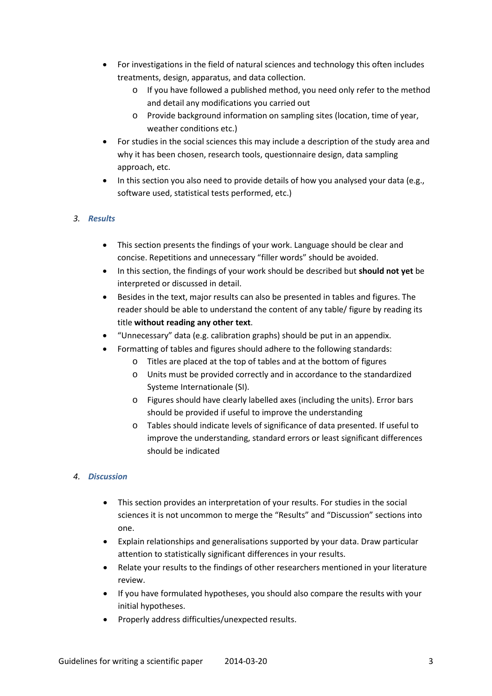- For investigations in the field of natural sciences and technology this often includes treatments, design, apparatus, and data collection.
	- o If you have followed a published method, you need only refer to the method and detail any modifications you carried out
	- o Provide background information on sampling sites (location, time of year, weather conditions etc.)
- For studies in the social sciences this may include a description of the study area and why it has been chosen, research tools, questionnaire design, data sampling approach, etc.
- In this section you also need to provide details of how you analysed your data (e.g., software used, statistical tests performed, etc.)

## *3. Results*

- This section presents the findings of your work. Language should be clear and concise. Repetitions and unnecessary "filler words" should be avoided.
- In this section, the findings of your work should be described but **should not yet** be interpreted or discussed in detail.
- Besides in the text, major results can also be presented in tables and figures. The reader should be able to understand the content of any table/ figure by reading its title **without reading any other text**.
- "Unnecessary" data (e.g. calibration graphs) should be put in an appendix.
- Formatting of tables and figures should adhere to the following standards:
	- o Titles are placed at the top of tables and at the bottom of figures
	- o Units must be provided correctly and in accordance to the standardized Systeme Internationale (SI).
	- o Figures should have clearly labelled axes (including the units). Error bars should be provided if useful to improve the understanding
	- o Tables should indicate levels of significance of data presented. If useful to improve the understanding, standard errors or least significant differences should be indicated

## *4. Discussion*

- This section provides an interpretation of your results. For studies in the social sciences it is not uncommon to merge the "Results" and "Discussion" sections into one.
- Explain relationships and generalisations supported by your data. Draw particular attention to statistically significant differences in your results.
- Relate your results to the findings of other researchers mentioned in your literature review.
- If you have formulated hypotheses, you should also compare the results with your initial hypotheses.
- Properly address difficulties/unexpected results.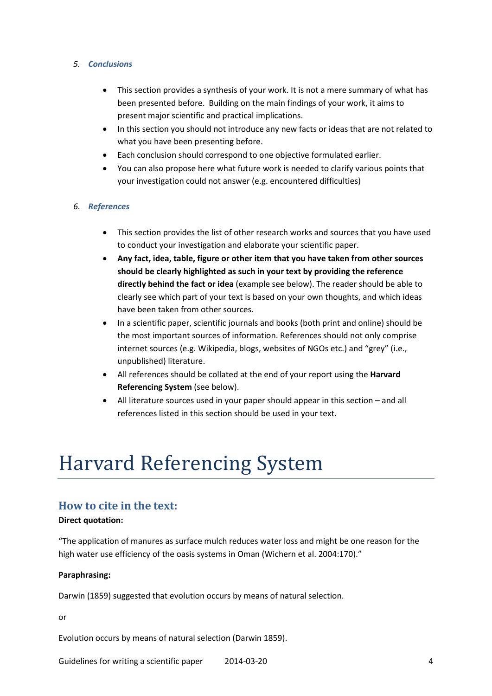### *5. Conclusions*

- This section provides a synthesis of your work. It is not a mere summary of what has been presented before. Building on the main findings of your work, it aims to present major scientific and practical implications.
- In this section you should not introduce any new facts or ideas that are not related to what you have been presenting before.
- Each conclusion should correspond to one objective formulated earlier.
- You can also propose here what future work is needed to clarify various points that your investigation could not answer (e.g. encountered difficulties)

### *6. References*

- This section provides the list of other research works and sources that you have used to conduct your investigation and elaborate your scientific paper.
- **Any fact, idea, table, figure or other item that you have taken from other sources should be clearly highlighted as such in your text by providing the reference directly behind the fact or idea** (example see below). The reader should be able to clearly see which part of your text is based on your own thoughts, and which ideas have been taken from other sources.
- In a scientific paper, scientific journals and books (both print and online) should be the most important sources of information. References should not only comprise internet sources (e.g. Wikipedia, blogs, websites of NGOs etc.) and "grey" (i.e., unpublished) literature.
- All references should be collated at the end of your report using the **Harvard Referencing System** (see below).
- All literature sources used in your paper should appear in this section and all references listed in this section should be used in your text.

## Harvard Referencing System

## **How to cite in the text:**

#### **Direct quotation:**

"The application of manures as surface mulch reduces water loss and might be one reason for the high water use efficiency of the oasis systems in Oman (Wichern et al. 2004:170)."

#### **Paraphrasing:**

Darwin (1859) suggested that evolution occurs by means of natural selection.

or

Evolution occurs by means of natural selection (Darwin 1859).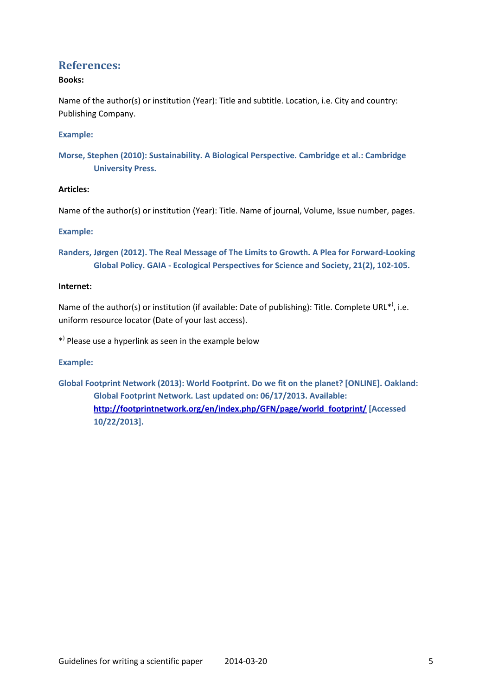## **References:**

## **Books:**

Name of the author(s) or institution (Year): Title and subtitle. Location, i.e. City and country: Publishing Company.

## **Example:**

**Morse, Stephen (2010): Sustainability. A Biological Perspective. Cambridge et al.: Cambridge University Press.**

## **Articles:**

Name of the author(s) or institution (Year): Title. Name of journal, Volume, Issue number, pages.

## **Example:**

**Randers, Jørgen (2012). The Real Message of The Limits to Growth. A Plea for Forward-Looking Global Policy. GAIA - Ecological Perspectives for Science and Society, 21(2), 102-105.**

## **Internet:**

Name of the author(s) or institution (if available: Date of publishing): Title. Complete URL\*<sup>)</sup>, i.e. uniform resource locator (Date of your last access).

\*) Please use a hyperlink as seen in the example below

## **Example:**

**Global Footprint Network (2013): World Footprint. Do we fit on the planet? [ONLINE]. Oakland: Global Footprint Network. Last updated on: 06/17/2013. Available: [http://footprintnetwork.org/en/index.php/GFN/page/world\\_footprint/](http://footprintnetwork.org/en/index.php/GFN/page/world_footprint/) [Accessed 10/22/2013].**